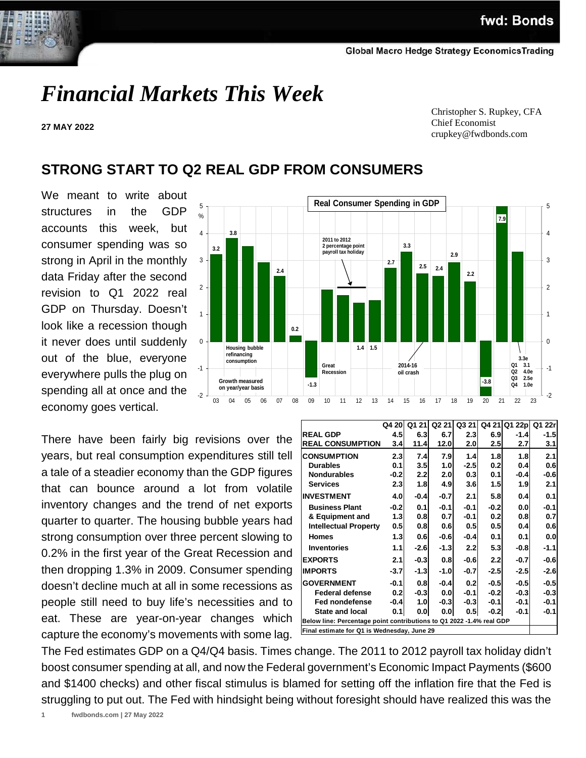# *Financial Markets This Week*

**27 MAY 2022**

 Christopher S. Rupkey, CFA Chief Economist crupkey@fwdbonds.com

## **STRONG START TO Q2 REAL GDP FROM CONSUMERS**

We meant to write about structures in the GDP accounts this week, but consumer spending was so strong in April in the monthly data Friday after the second revision to Q1 2022 real GDP on Thursday. Doesn't look like a recession though it never does until suddenly out of the blue, everyone everywhere pulls the plug on spending all at once and the economy goes vertical.

There have been fairly big revisions over the years, but real consumption expenditures still tell a tale of a steadier economy than the GDP figures that can bounce around a lot from volatile inventory changes and the trend of net exports quarter to quarter. The housing bubble years had strong consumption over three percent slowing to 0.2% in the first year of the Great Recession and then dropping 1.3% in 2009. Consumer spending doesn't decline much at all in some recessions as people still need to buy life's necessities and to eat. These are year-on-year changes which capture the economy's movements with some lag.

**Q4 20 Q1 21 Q2 21 Q3 21 Q4 21 Q1 22p Q1 22r REAL GDP 4.5 6.3 6.7 2.3 6.9 -1.4 -1.5 REAL CONSUMPTION 3.4 11.4 12.0 2.0 2.5 2.7 3.1 CONSUMPTION 2.3 7.4 7.9 1.4 1.8 1.8 2.1 Durables 0.1 3.5 1.0 -2.5 0.2 0.4 0.6 Nondurables -0.2 2.2 2.0 0.3 0.1 -0.4 -0.6 Services 2.3 1.8 4.9 3.6 1.5 1.9 2.1 INVESTMENT 4.0 -0.4 -0.7 2.1 5.8 0.4 0.1 Business Plant -0.2 0.1 -0.1 -0.1 -0.2 0.0 -0.1 & Equipment and 1.3 0.8 0.7 -0.1 0.2 0.8 0.7 Intellectual Property 0.5 0.8 0.6 0.5 0.5 0.4 0.6 Homes 1.3 0.6 -0.6 -0.4 0.1 0.1 0.0 Inventories 1.1 -2.6 -1.3 2.2 5.3 -0.8 -1.1 EXPORTS 2.1 -0.3 0.8 -0.6 2.2 -0.7 -0.6 IMPORTS -3.7 -1.3 -1.0 -0.7 -2.5 -2.5 -2.6 GOVERNMENT -0.1 0.8 -0.4 0.2 -0.5 -0.5 -0.5 Federal defense 0.2 -0.3 0.0 -0.1 -0.2 -0.3 -0.3 Fed nondefense -0.4 1.0 -0.3 -0.3 -0.1 -0.1 -0.1 State and local 0.1 0.0 0.0 0.5 -0.2 -0.1 -0.1 Below line: Percentage point contributions Final estimate for Q1 is Wednesday, June 29**

The Fed estimates GDP on a Q4/Q4 basis. Times change. The 2011 to 2012 payroll tax holiday didn't boost consumer spending at all, and now the Federal government's Economic Impact Payments (\$600 and \$1400 checks) and other fiscal stimulus is blamed for setting off the inflation fire that the Fed is struggling to put out. The Fed with hindsight being without foresight should have realized this was the



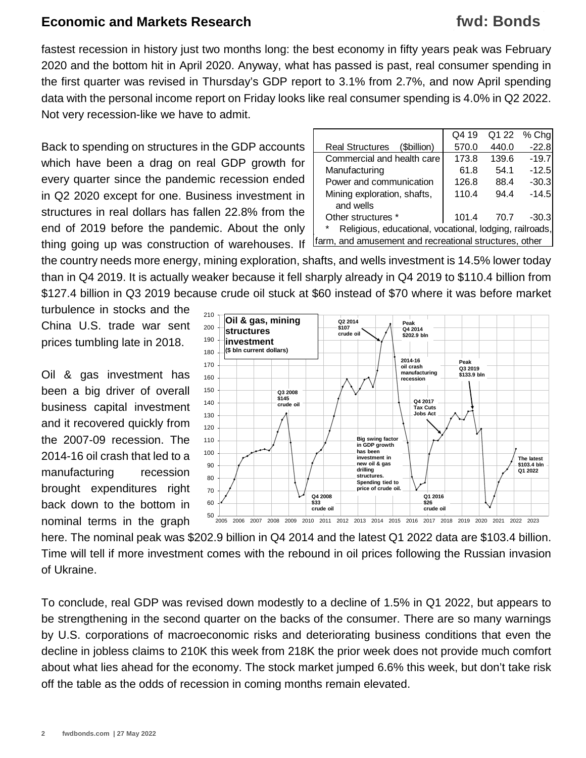## **fwd: Bonds**

fastest recession in history just two months long: the best economy in fifty years peak was February 2020 and the bottom hit in April 2020. Anyway, what has passed is past, real consumer spending in the first quarter was revised in Thursday's GDP report to 3.1% from 2.7%, and now April spending data with the personal income report on Friday looks like real consumer spending is 4.0% in Q2 2022. Not very recession-like we have to admit.

Back to spending on structures in the GDP accounts which have been a drag on real GDP growth for every quarter since the pandemic recession ended in Q2 2020 except for one. Business investment in structures in real dollars has fallen 22.8% from the end of 2019 before the pandemic. About the only thing going up was construction of warehouses. If

|                                                         | Q4 19 | Q1 22 | % Chg   |  |  |  |
|---------------------------------------------------------|-------|-------|---------|--|--|--|
| <b>Real Structures</b><br>(Sbillion)                    | 570.0 | 440.0 | $-22.8$ |  |  |  |
| Commercial and health care                              | 173.8 | 139.6 | $-19.7$ |  |  |  |
| Manufacturing                                           | 61.8  | 54.1  | $-12.5$ |  |  |  |
| Power and communication                                 | 126.8 | 88.4  | $-30.3$ |  |  |  |
| Mining exploration, shafts,                             | 110.4 | 94.4  | $-14.5$ |  |  |  |
| and wells                                               |       |       |         |  |  |  |
| Other structures *                                      | 101.4 | 70.7  | $-30.3$ |  |  |  |
| Religious, educational, vocational, lodging, railroads, |       |       |         |  |  |  |
| farm, and amusement and recreational structures, other  |       |       |         |  |  |  |

the country needs more energy, mining exploration, shafts, and wells investment is 14.5% lower today than in Q4 2019. It is actually weaker because it fell sharply already in Q4 2019 to \$110.4 billion from \$127.4 billion in Q3 2019 because crude oil stuck at \$60 instead of \$70 where it was before market

turbulence in stocks and the China U.S. trade war sent prices tumbling late in 2018.

Oil & gas investment has been a big driver of overall business capital investment and it recovered quickly from the 2007-09 recession. The 2014-16 oil crash that led to a manufacturing recession brought expenditures right back down to the bottom in nominal terms in the graph



here. The nominal peak was \$202.9 billion in Q4 2014 and the latest Q1 2022 data are \$103.4 billion. Time will tell if more investment comes with the rebound in oil prices following the Russian invasion of Ukraine.

To conclude, real GDP was revised down modestly to a decline of 1.5% in Q1 2022, but appears to be strengthening in the second quarter on the backs of the consumer. There are so many warnings by U.S. corporations of macroeconomic risks and deteriorating business conditions that even the decline in jobless claims to 210K this week from 218K the prior week does not provide much comfort about what lies ahead for the economy. The stock market jumped 6.6% this week, but don't take risk off the table as the odds of recession in coming months remain elevated.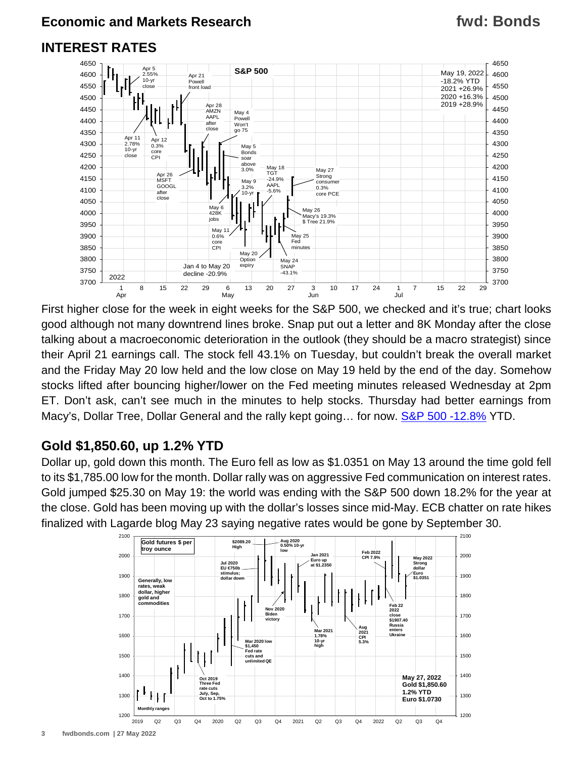## **fwd: Bonds**

## **INTEREST RATES**



First higher close for the week in eight weeks for the S&P 500, we checked and it's true; chart looks good although not many downtrend lines broke. Snap put out a letter and 8K Monday after the close talking about a macroeconomic deterioration in the outlook (they should be a macro strategist) since their April 21 earnings call. The stock fell 43.1% on Tuesday, but couldn't break the overall market and the Friday May 20 low held and the low close on May 19 held by the end of the day. Somehow stocks lifted after bouncing higher/lower on the Fed meeting minutes released Wednesday at 2pm ET. Don't ask, can't see much in the minutes to help stocks. Thursday had better earnings from Macy's, Dollar Tree, Dollar General and the rally kept going... for now. S&P 500-12.8% YTD.

## **Gold \$1,850.60, up 1.2% YTD**

Dollar up, gold down this month. The Euro fell as low as \$1.0351 on May 13 around the time gold fell to its \$1,785.00 low for the month. Dollar rally was on aggressive Fed communication on interest rates. Gold jumped \$25.30 on May 19: the world was ending with the S&P 500 down 18.2% for the year at the close. Gold has been moving up with the dollar's losses since mid-May. ECB chatter on rate hikes finalized with Lagarde blog May 23 saying negative rates would be gone by September 30.

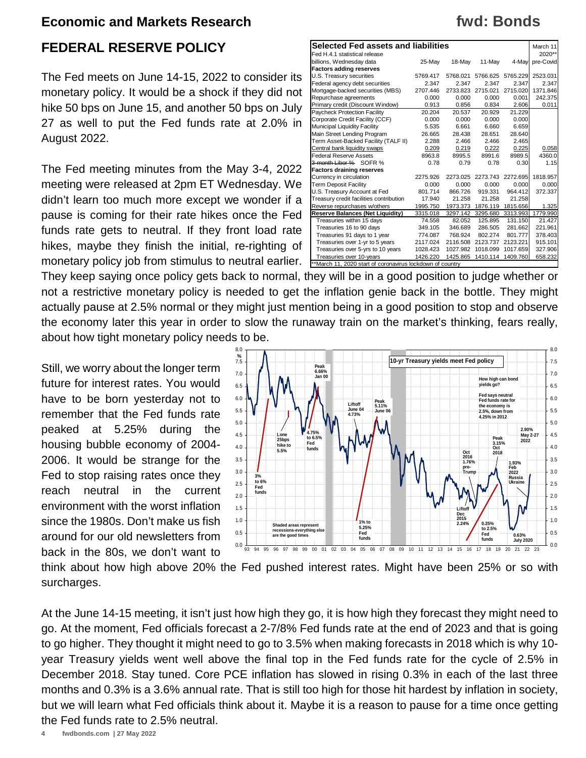#### **FEDERAL RESERVE POLICY**

The Fed meets on June 14-15, 2022 to consider its monetary policy. It would be a shock if they did not hike 50 bps on June 15, and another 50 bps on July 27 as well to put the Fed funds rate at 2.0% in August 2022.

The Fed meeting minutes from the May 3-4, 2022 meeting were released at 2pm ET Wednesday. We didn't learn too much more except we wonder if a pause is coming for their rate hikes once the Fed funds rate gets to neutral. If they front load rate hikes, maybe they finish the initial, re-righting of monetary policy job from stimulus to neutral earlier.

| <b>Selected Fed assets and liabilities</b>                |          |          |          |          |           |  |  |
|-----------------------------------------------------------|----------|----------|----------|----------|-----------|--|--|
| Fed H.4.1 statistical release                             |          |          |          |          | $2020**$  |  |  |
| billions, Wednesday data                                  | 25-May   | 18-May   | 11-May   | 4-Mav    | pre-Covid |  |  |
| <b>Factors adding reserves</b>                            |          |          |          |          |           |  |  |
| U.S. Treasury securities                                  | 5769.417 | 5768.021 | 5766.625 | 5765.229 | 2523.031  |  |  |
| Federal agency debt securities                            | 2.347    | 2.347    | 2.347    | 2.347    | 2.347     |  |  |
| Mortgage-backed securities (MBS)                          | 2707.446 | 2733.823 | 2715.021 | 2715.020 | 1371.846  |  |  |
| Repurchase agreements                                     | 0.000    | 0.000    | 0.000    | 0.001    | 242.375   |  |  |
| Primary credit (Discount Window)                          | 0.913    | 0.856    | 0.834    | 2.606    | 0.011     |  |  |
| Paycheck Protection Facility                              | 20.204   | 20.537   | 20.929   | 21.229   |           |  |  |
| Corporate Credit Facility (CCF)                           | 0.000    | 0.000    | 0.000    | 0.000    |           |  |  |
| Municipal Liquidity Facility                              | 5.535    | 6.661    | 6.660    | 6.659    |           |  |  |
| Main Street Lending Program                               | 26.665   | 28.438   | 28.651   | 28.640   |           |  |  |
| Term Asset-Backed Facility (TALF II)                      | 2.288    | 2.466    | 2.466    | 2.465    |           |  |  |
| Central bank liquidity swaps                              | 0.209    | 0.219    | 0.222    | 0.225    | 0.058     |  |  |
| Federal Reserve Assets                                    | 8963.8   | 8995.5   | 8991.6   | 8989.5   | 4360.0    |  |  |
| 3-month Libor % SOFR %                                    | 0.78     | 0.79     | 0.78     | 0.30     | 1.15      |  |  |
| <b>Factors draining reserves</b>                          |          |          |          |          |           |  |  |
| Currency in circulation                                   | 2275.926 | 2273.025 | 2273.743 | 2272.695 | 1818.957  |  |  |
| <b>Term Deposit Facility</b>                              | 0.000    | 0.000    | 0.000    | 0.000    | 0.000     |  |  |
| U.S. Treasury Account at Fed                              | 801.714  | 866.726  | 919.331  | 964.412  | 372.337   |  |  |
| Treasury credit facilities contribution                   | 17.940   | 21.258   | 21.258   | 21.258   |           |  |  |
| Reverse repurchases w/others                              | 1995.750 | 1973.373 | 1876.119 | 1815.656 | 1.325     |  |  |
| <b>Reserve Balances (Net Liquidity)</b>                   | 3315.018 | 3297.142 | 3295.680 | 3313.993 | 1779.990  |  |  |
| Treasuries within 15 days                                 | 74.558   | 82.052   | 125.895  | 131.150  | 21.427    |  |  |
| Treasuries 16 to 90 days                                  | 349.105  | 346.689  | 286.505  | 281.662  | 221.961   |  |  |
| Treasuries 91 days to 1 year                              | 774.087  | 768.924  | 802.274  | 801.777  | 378.403   |  |  |
| Treasuries over 1-yr to 5 years                           | 2117.024 | 2116.508 | 2123.737 | 2123.221 | 915.101   |  |  |
| Treasuries over 5-yrs to 10 years                         | 1028.423 | 1027.982 | 1018.099 | 1017.659 | 327.906   |  |  |
| Treasuries over 10-years                                  | 1426.220 | 1425.865 | 1410.114 | 1409.760 | 658.232   |  |  |
| **March 11, 2020 start of coronavirus lockdown of country |          |          |          |          |           |  |  |

They keep saying once policy gets back to normal, they will be in a good position to judge whether or not a restrictive monetary policy is needed to get the inflation genie back in the bottle. They might actually pause at 2.5% normal or they might just mention being in a good position to stop and observe the economy later this year in order to slow the runaway train on the market's thinking, fears really, about how tight monetary policy needs to be.

Still, we worry about the longer term future for interest rates. You would have to be born yesterday not to remember that the Fed funds rate peaked at 5.25% during the housing bubble economy of 2004- 2006. It would be strange for the Fed to stop raising rates once they reach neutral in the current environment with the worst inflation since the 1980s. Don't make us fish around for our old newsletters from back in the 80s, we don't want to



think about how high above 20% the Fed pushed interest rates. Might have been 25% or so with surcharges.

At the June 14-15 meeting, it isn't just how high they go, it is how high they forecast they might need to go. At the moment, Fed officials forecast a 2-7/8% Fed funds rate at the end of 2023 and that is going to go higher. They thought it might need to go to 3.5% when making forecasts in 2018 which is why 10 year Treasury yields went well above the final top in the Fed funds rate for the cycle of 2.5% in December 2018. Stay tuned. Core PCE inflation has slowed in rising 0.3% in each of the last three months and 0.3% is a 3.6% annual rate. That is still too high for those hit hardest by inflation in society, but we will learn what Fed officials think about it. Maybe it is a reason to pause for a time once getting the Fed funds rate to 2.5% neutral.

**4 fwdbonds.com | 27 May 2022**

## **fwd: Bonds**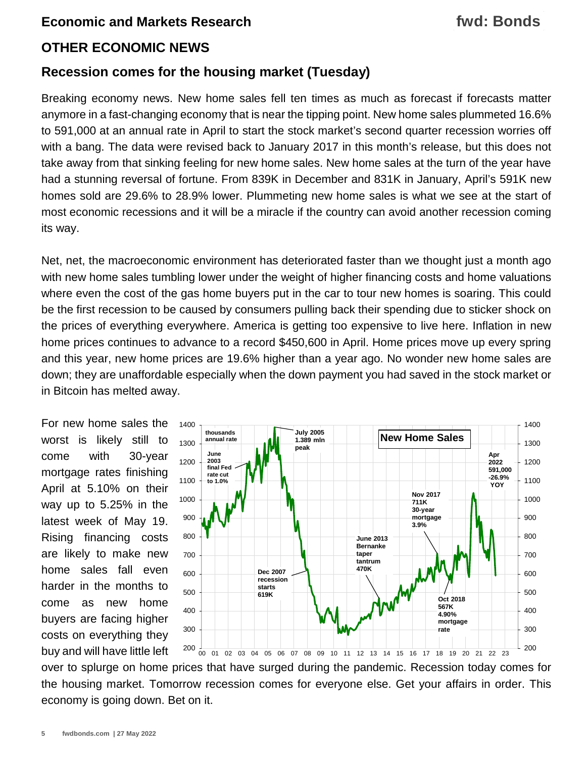## **fwd: Bonds**

#### **OTHER ECONOMIC NEWS**

#### **Recession comes for the housing market (Tuesday)**

Breaking economy news. New home sales fell ten times as much as forecast if forecasts matter anymore in a fast-changing economy that is near the tipping point. New home sales plummeted 16.6% to 591,000 at an annual rate in April to start the stock market's second quarter recession worries off with a bang. The data were revised back to January 2017 in this month's release, but this does not take away from that sinking feeling for new home sales. New home sales at the turn of the year have had a stunning reversal of fortune. From 839K in December and 831K in January, April's 591K new homes sold are 29.6% to 28.9% lower. Plummeting new home sales is what we see at the start of most economic recessions and it will be a miracle if the country can avoid another recession coming its way.

Net, net, the macroeconomic environment has deteriorated faster than we thought just a month ago with new home sales tumbling lower under the weight of higher financing costs and home valuations where even the cost of the gas home buyers put in the car to tour new homes is soaring. This could be the first recession to be caused by consumers pulling back their spending due to sticker shock on the prices of everything everywhere. America is getting too expensive to live here. Inflation in new home prices continues to advance to a record \$450,600 in April. Home prices move up every spring and this year, new home prices are 19.6% higher than a year ago. No wonder new home sales are down; they are unaffordable especially when the down payment you had saved in the stock market or in Bitcoin has melted away.

For new home sales the worst is likely still to come with 30-year mortgage rates finishing April at 5.10% on their way up to 5.25% in the latest week of May 19. Rising financing costs are likely to make new home sales fall even harder in the months to come as new home buyers are facing higher costs on everything they buy and will have little left



over to splurge on home prices that have surged during the pandemic. Recession today comes for the housing market. Tomorrow recession comes for everyone else. Get your affairs in order. This economy is going down. Bet on it.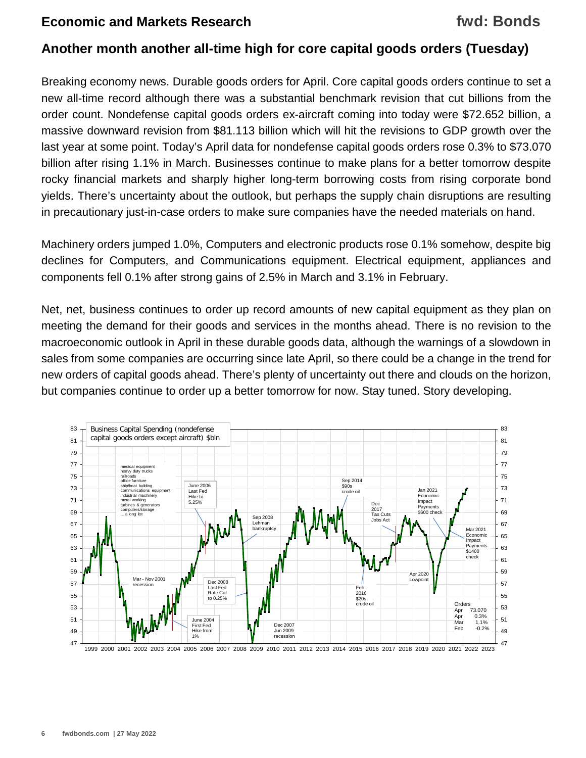## **fwd: Bonds**

## **Another month another all-time high for core capital goods orders (Tuesday)**

Breaking economy news. Durable goods orders for April. Core capital goods orders continue to set a new all-time record although there was a substantial benchmark revision that cut billions from the order count. Nondefense capital goods orders ex-aircraft coming into today were \$72.652 billion, a massive downward revision from \$81.113 billion which will hit the revisions to GDP growth over the last year at some point. Today's April data for nondefense capital goods orders rose 0.3% to \$73.070 billion after rising 1.1% in March. Businesses continue to make plans for a better tomorrow despite rocky financial markets and sharply higher long-term borrowing costs from rising corporate bond yields. There's uncertainty about the outlook, but perhaps the supply chain disruptions are resulting in precautionary just-in-case orders to make sure companies have the needed materials on hand.

Machinery orders jumped 1.0%, Computers and electronic products rose 0.1% somehow, despite big declines for Computers, and Communications equipment. Electrical equipment, appliances and components fell 0.1% after strong gains of 2.5% in March and 3.1% in February.

Net, net, business continues to order up record amounts of new capital equipment as they plan on meeting the demand for their goods and services in the months ahead. There is no revision to the macroeconomic outlook in April in these durable goods data, although the warnings of a slowdown in sales from some companies are occurring since late April, so there could be a change in the trend for new orders of capital goods ahead. There's plenty of uncertainty out there and clouds on the horizon, but companies continue to order up a better tomorrow for now. Stay tuned. Story developing.

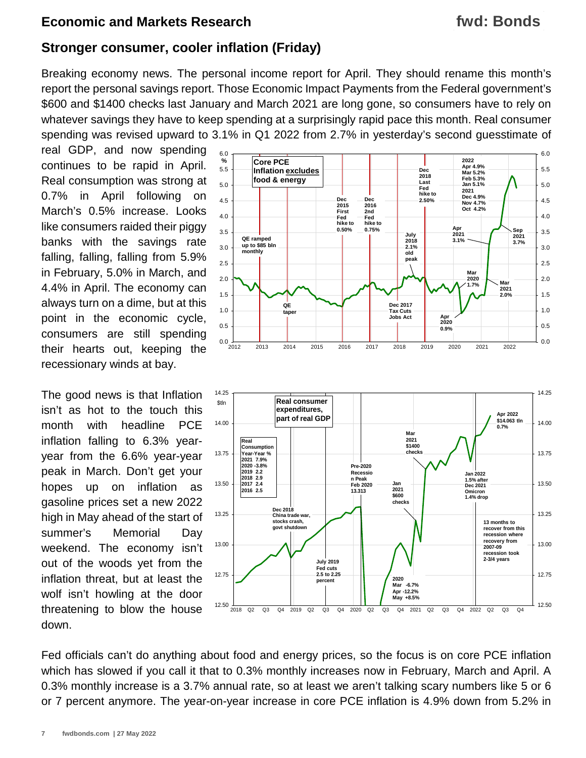## **fwd: Bonds**

#### **Stronger consumer, cooler inflation (Friday)**

Breaking economy news. The personal income report for April. They should rename this month's report the personal savings report. Those Economic Impact Payments from the Federal government's \$600 and \$1400 checks last January and March 2021 are long gone, so consumers have to rely on whatever savings they have to keep spending at a surprisingly rapid pace this month. Real consumer spending was revised upward to 3.1% in Q1 2022 from 2.7% in yesterday's second guesstimate of

real GDP, and now spending continues to be rapid in April. Real consumption was strong at 0.7% in April following on March's 0.5% increase. Looks like consumers raided their piggy banks with the savings rate falling, falling, falling from 5.9% in February, 5.0% in March, and 4.4% in April. The economy can always turn on a dime, but at this point in the economic cycle, consumers are still spending their hearts out, keeping the recessionary winds at bay.

The good news is that Inflation isn't as hot to the touch this month with headline PCE inflation falling to 6.3% yearyear from the 6.6% year-year peak in March. Don't get your hopes up on inflation as gasoline prices set a new 2022 high in May ahead of the start of summer's Memorial Day weekend. The economy isn't out of the woods yet from the inflation threat, but at least the wolf isn't howling at the door threatening to blow the house down.





Fed officials can't do anything about food and energy prices, so the focus is on core PCE inflation which has slowed if you call it that to 0.3% monthly increases now in February, March and April. A 0.3% monthly increase is a 3.7% annual rate, so at least we aren't talking scary numbers like 5 or 6 or 7 percent anymore. The year-on-year increase in core PCE inflation is 4.9% down from 5.2% in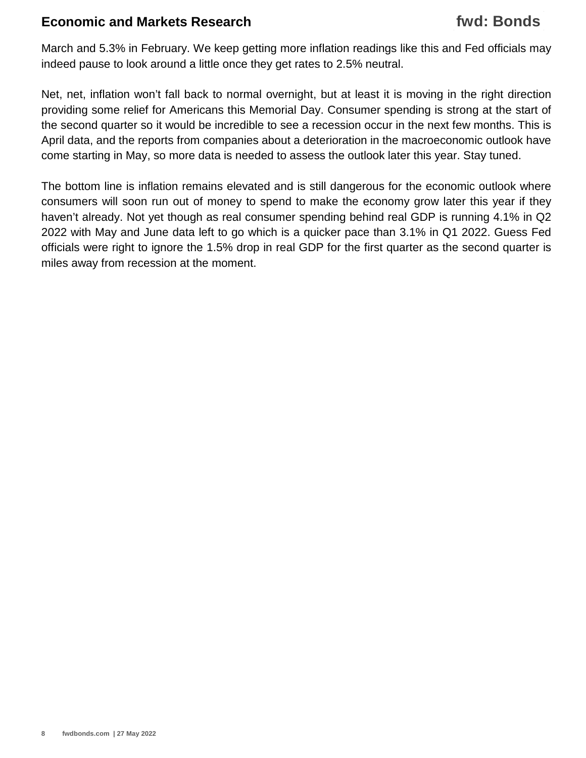March and 5.3% in February. We keep getting more inflation readings like this and Fed officials may indeed pause to look around a little once they get rates to 2.5% neutral.

Net, net, inflation won't fall back to normal overnight, but at least it is moving in the right direction providing some relief for Americans this Memorial Day. Consumer spending is strong at the start of the second quarter so it would be incredible to see a recession occur in the next few months. This is April data, and the reports from companies about a deterioration in the macroeconomic outlook have come starting in May, so more data is needed to assess the outlook later this year. Stay tuned.

The bottom line is inflation remains elevated and is still dangerous for the economic outlook where consumers will soon run out of money to spend to make the economy grow later this year if they haven't already. Not yet though as real consumer spending behind real GDP is running 4.1% in Q2 2022 with May and June data left to go which is a quicker pace than 3.1% in Q1 2022. Guess Fed officials were right to ignore the 1.5% drop in real GDP for the first quarter as the second quarter is miles away from recession at the moment.